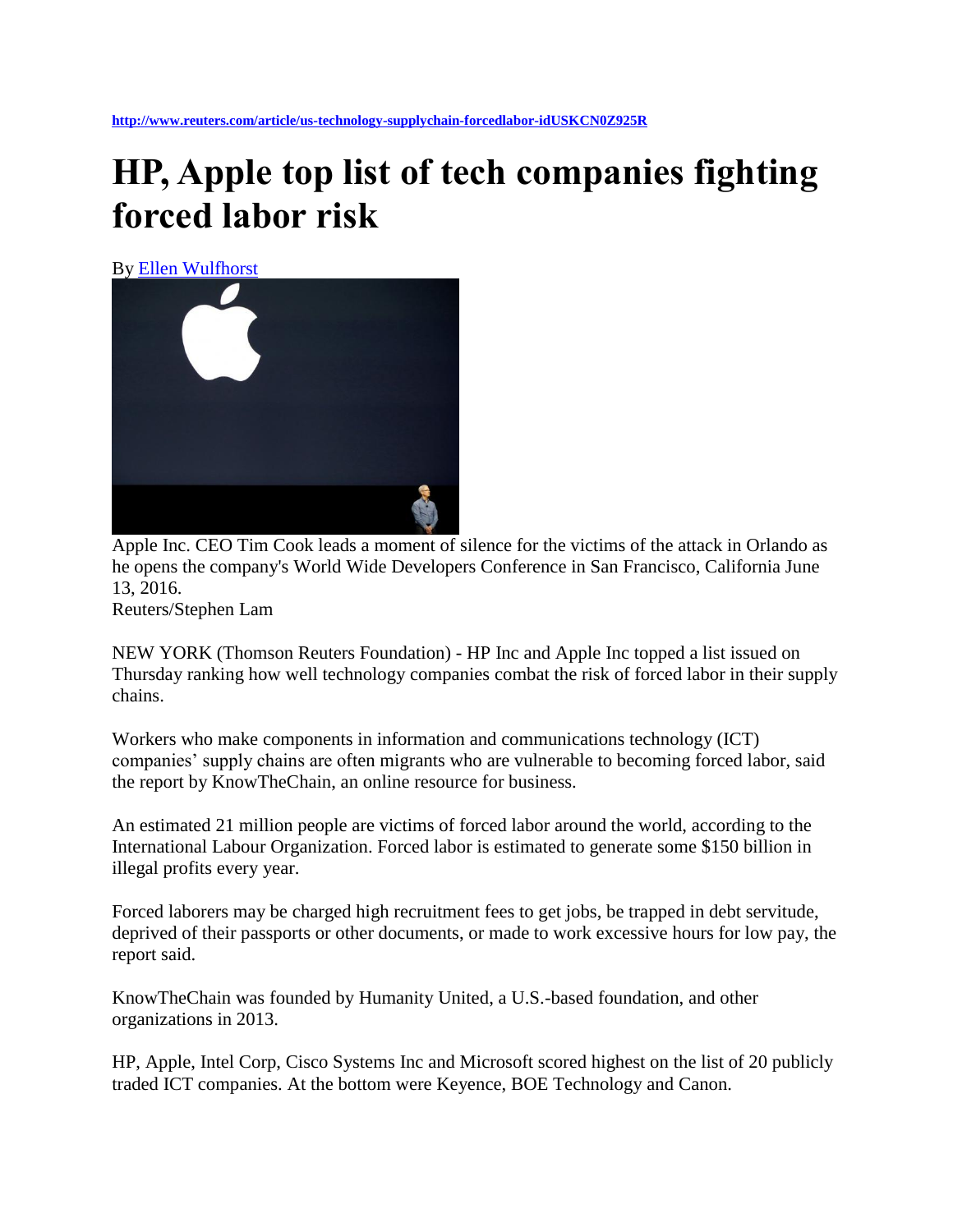## **HP, Apple top list of tech companies fighting forced labor risk**

By [Ellen Wulfhorst](http://www.reuters.com/journalists/ellen-wulfhorst)



Apple Inc. CEO Tim Cook leads a moment of silence for the victims of the attack in Orlando as he opens the company's World Wide Developers Conference in San Francisco, California June 13, 2016.

Reuters/Stephen Lam

NEW YORK (Thomson Reuters Foundation) - HP Inc and Apple Inc topped a list issued on Thursday ranking how well technology companies combat the risk of forced labor in their supply chains.

Workers who make components in information and communications technology (ICT) companies' supply chains are often migrants who are vulnerable to becoming forced labor, said the report by KnowTheChain, an online resource for business.

An estimated 21 million people are victims of forced labor around the world, according to the International Labour Organization. Forced labor is estimated to generate some \$150 billion in illegal profits every year.

Forced laborers may be charged high recruitment fees to get jobs, be trapped in debt servitude, deprived of their passports or other documents, or made to work excessive hours for low pay, the report said.

KnowTheChain was founded by Humanity United, a U.S.-based foundation, and other organizations in 2013.

HP, Apple, Intel Corp, Cisco Systems Inc and Microsoft scored highest on the list of 20 publicly traded ICT companies. At the bottom were Keyence, BOE Technology and Canon.